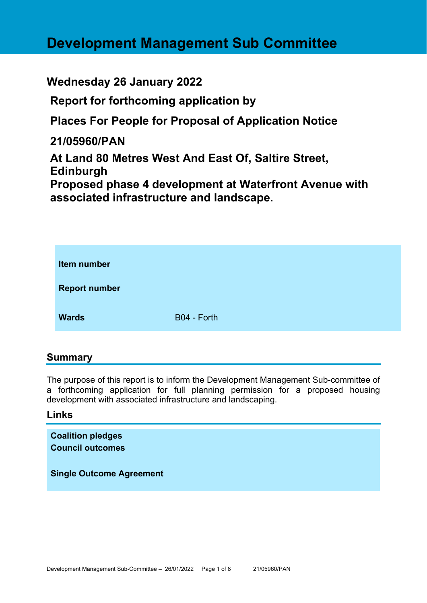# **Development Management Sub Committee**

# **Wednesday 26 January 2022**

**Report for forthcoming application by** 

**Places For People for Proposal of Application Notice** 

**21/05960/PAN** 

**At Land 80 Metres West And East Of, Saltire Street, Edinburgh** 

**Proposed phase 4 development at Waterfront Avenue with associated infrastructure and landscape.** 

| Item number          |             |
|----------------------|-------------|
| <b>Report number</b> |             |
| <b>Wards</b>         | B04 - Forth |

## **Summary**

The purpose of this report is to inform the Development Management Sub-committee of a forthcoming application for full planning permission for a proposed housing development with associated infrastructure and landscaping.

#### **Links**

**Coalition pledges Council outcomes** 

**Single Outcome Agreement**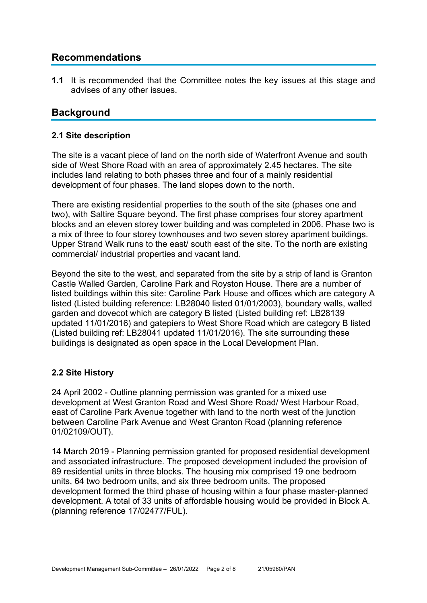# **Recommendations**

**1.1** It is recommended that the Committee notes the key issues at this stage and advises of any other issues.

# **Background**

#### **2.1 Site description**

The site is a vacant piece of land on the north side of Waterfront Avenue and south side of West Shore Road with an area of approximately 2.45 hectares. The site includes land relating to both phases three and four of a mainly residential development of four phases. The land slopes down to the north.

There are existing residential properties to the south of the site (phases one and two), with Saltire Square beyond. The first phase comprises four storey apartment blocks and an eleven storey tower building and was completed in 2006. Phase two is a mix of three to four storey townhouses and two seven storey apartment buildings. Upper Strand Walk runs to the east/ south east of the site. To the north are existing commercial/ industrial properties and vacant land.

Beyond the site to the west, and separated from the site by a strip of land is Granton Castle Walled Garden, Caroline Park and Royston House. There are a number of listed buildings within this site: Caroline Park House and offices which are category A listed (Listed building reference: LB28040 listed 01/01/2003), boundary walls, walled garden and dovecot which are category B listed (Listed building ref: LB28139 updated 11/01/2016) and gatepiers to West Shore Road which are category B listed (Listed building ref: LB28041 updated 11/01/2016). The site surrounding these buildings is designated as open space in the Local Development Plan.

#### **2.2 Site History**

24 April 2002 - Outline planning permission was granted for a mixed use development at West Granton Road and West Shore Road/ West Harbour Road, east of Caroline Park Avenue together with land to the north west of the junction between Caroline Park Avenue and West Granton Road (planning reference 01/02109/OUT).

14 March 2019 - Planning permission granted for proposed residential development and associated infrastructure. The proposed development included the provision of 89 residential units in three blocks. The housing mix comprised 19 one bedroom units, 64 two bedroom units, and six three bedroom units. The proposed development formed the third phase of housing within a four phase master-planned development. A total of 33 units of affordable housing would be provided in Block A. (planning reference 17/02477/FUL).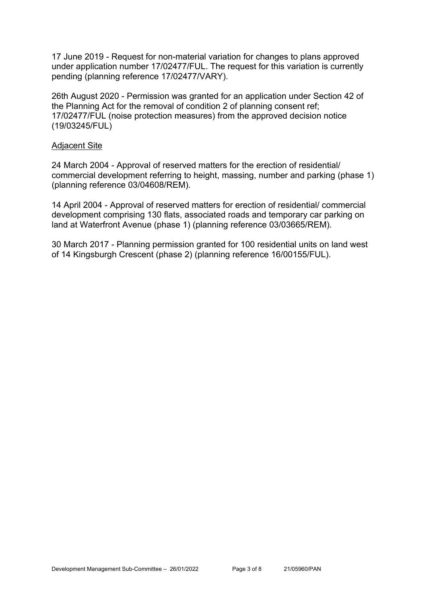17 June 2019 - Request for non-material variation for changes to plans approved under application number 17/02477/FUL. The request for this variation is currently pending (planning reference 17/02477/VARY).

26th August 2020 - Permission was granted for an application under Section 42 of the Planning Act for the removal of condition 2 of planning consent ref; 17/02477/FUL (noise protection measures) from the approved decision notice (19/03245/FUL)

#### Adjacent Site

24 March 2004 - Approval of reserved matters for the erection of residential/ commercial development referring to height, massing, number and parking (phase 1) (planning reference 03/04608/REM).

14 April 2004 - Approval of reserved matters for erection of residential/ commercial development comprising 130 flats, associated roads and temporary car parking on land at Waterfront Avenue (phase 1) (planning reference 03/03665/REM).

30 March 2017 - Planning permission granted for 100 residential units on land west of 14 Kingsburgh Crescent (phase 2) (planning reference 16/00155/FUL).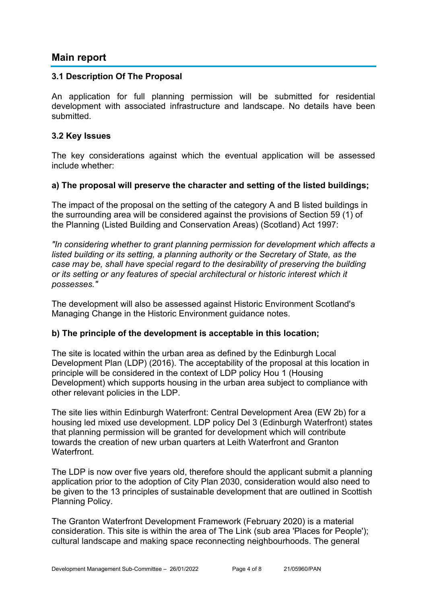### **Main report**

#### **3.1 Description Of The Proposal**

An application for full planning permission will be submitted for residential development with associated infrastructure and landscape. No details have been submitted.

#### **3.2 Key Issues**

The key considerations against which the eventual application will be assessed include whether:

#### **a) The proposal will preserve the character and setting of the listed buildings;**

The impact of the proposal on the setting of the category A and B listed buildings in the surrounding area will be considered against the provisions of Section 59 (1) of the Planning (Listed Building and Conservation Areas) (Scotland) Act 1997:

*"In considering whether to grant planning permission for development which affects a listed building or its setting, a planning authority or the Secretary of State, as the case may be, shall have special regard to the desirability of preserving the building or its setting or any features of special architectural or historic interest which it possesses."*

The development will also be assessed against Historic Environment Scotland's Managing Change in the Historic Environment guidance notes.

#### **b) The principle of the development is acceptable in this location;**

The site is located within the urban area as defined by the Edinburgh Local Development Plan (LDP) (2016). The acceptability of the proposal at this location in principle will be considered in the context of LDP policy Hou 1 (Housing Development) which supports housing in the urban area subject to compliance with other relevant policies in the LDP.

The site lies within Edinburgh Waterfront: Central Development Area (EW 2b) for a housing led mixed use development. LDP policy Del 3 (Edinburgh Waterfront) states that planning permission will be granted for development which will contribute towards the creation of new urban quarters at Leith Waterfront and Granton **Waterfront** 

The LDP is now over five years old, therefore should the applicant submit a planning application prior to the adoption of City Plan 2030, consideration would also need to be given to the 13 principles of sustainable development that are outlined in Scottish Planning Policy.

The Granton Waterfront Development Framework (February 2020) is a material consideration. This site is within the area of The Link (sub area 'Places for People'); cultural landscape and making space reconnecting neighbourhoods. The general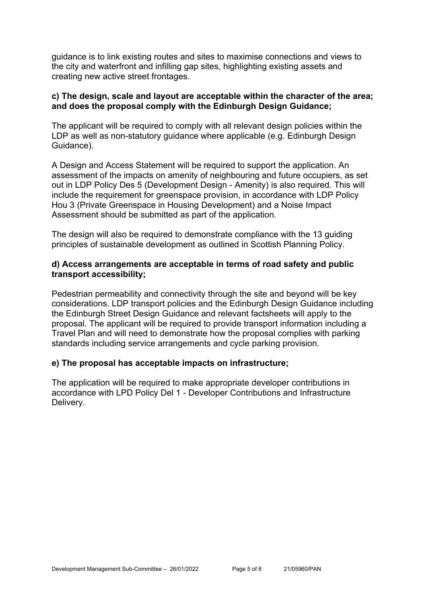guidance is to link existing routes and sites to maximise connections and views to the city and waterfront and infilling gap sites, highlighting existing assets and creating new active street frontages.

#### **c) The design, scale and layout are acceptable within the character of the area; and does the proposal comply with the Edinburgh Design Guidance;**

The applicant will be required to comply with all relevant design policies within the LDP as well as non-statutory guidance where applicable (e.g. Edinburgh Design Guidance).

A Design and Access Statement will be required to support the application. An assessment of the impacts on amenity of neighbouring and future occupiers, as set out in LDP Policy Des 5 (Development Design - Amenity) is also required. This will include the requirement for greenspace provision, in accordance with LDP Policy Hou 3 (Private Greenspace in Housing Development) and a Noise Impact Assessment should be submitted as part of the application.

The design will also be required to demonstrate compliance with the 13 guiding principles of sustainable development as outlined in Scottish Planning Policy.

#### **d) Access arrangements are acceptable in terms of road safety and public transport accessibility;**

Pedestrian permeability and connectivity through the site and beyond will be key considerations. LDP transport policies and the Edinburgh Design Guidance including the Edinburgh Street Design Guidance and relevant factsheets will apply to the proposal. The applicant will be required to provide transport information including a Travel Plan and will need to demonstrate how the proposal complies with parking standards including service arrangements and cycle parking provision.

#### **e) The proposal has acceptable impacts on infrastructure;**

The application will be required to make appropriate developer contributions in accordance with LPD Policy Del 1 - Developer Contributions and Infrastructure Delivery.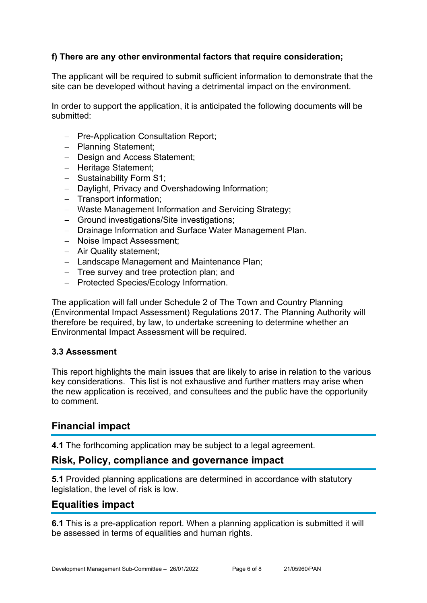#### **f) There are any other environmental factors that require consideration;**

The applicant will be required to submit sufficient information to demonstrate that the site can be developed without having a detrimental impact on the environment.

In order to support the application, it is anticipated the following documents will be submitted:

- Pre-Application Consultation Report;
- Planning Statement:
- Design and Access Statement:
- Heritage Statement;
- Sustainability Form S1:
- Daylight, Privacy and Overshadowing Information;
- Transport information:
- Waste Management Information and Servicing Strategy;
- Ground investigations/Site investigations;
- Drainage Information and Surface Water Management Plan.
- Noise Impact Assessment;
- Air Quality statement;
- Landscape Management and Maintenance Plan;
- Tree survey and tree protection plan; and
- Protected Species/Ecology Information.

The application will fall under Schedule 2 of The Town and Country Planning (Environmental Impact Assessment) Regulations 2017. The Planning Authority will therefore be required, by law, to undertake screening to determine whether an Environmental Impact Assessment will be required.

#### **3.3 Assessment**

This report highlights the main issues that are likely to arise in relation to the various key considerations. This list is not exhaustive and further matters may arise when the new application is received, and consultees and the public have the opportunity to comment.

#### **Financial impact**

**4.1** The forthcoming application may be subject to a legal agreement.

#### **Risk, Policy, compliance and governance impact**

**5.1** Provided planning applications are determined in accordance with statutory legislation, the level of risk is low.

#### **Equalities impact**

**6.1** This is a pre-application report. When a planning application is submitted it will be assessed in terms of equalities and human rights.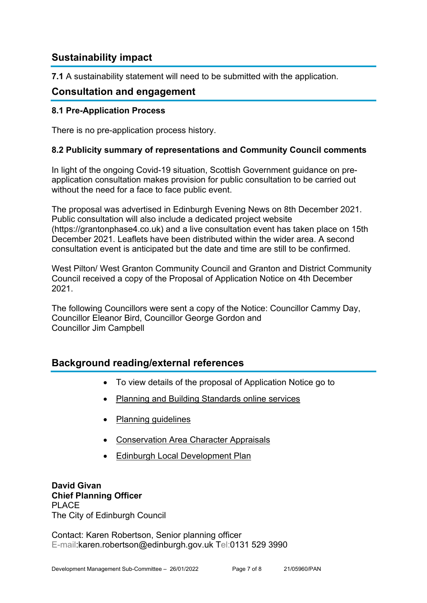# **Sustainability impact**

**7.1** A sustainability statement will need to be submitted with the application.

# **Consultation and engagement**

#### **8.1 Pre-Application Process**

There is no pre-application process history.

#### **8.2 Publicity summary of representations and Community Council comments**

In light of the ongoing Covid-19 situation, Scottish Government guidance on preapplication consultation makes provision for public consultation to be carried out without the need for a face to face public event.

The proposal was advertised in Edinburgh Evening News on 8th December 2021. Public consultation will also include a dedicated project website (https://grantonphase4.co.uk) and a live consultation event has taken place on 15th December 2021. Leaflets have been distributed within the wider area. A second consultation event is anticipated but the date and time are still to be confirmed.

West Pilton/ West Granton Community Council and Granton and District Community Council received a copy of the Proposal of Application Notice on 4th December 2021.

The following Councillors were sent a copy of the Notice: Councillor Cammy Day, Councillor Eleanor Bird, Councillor George Gordon and Councillor Jim Campbell

## **Background reading/external references**

- To view details of the proposal of Application Notice go to
- Planning and Building Standards online services
- Planning guidelines
- Conservation Area Character Appraisals
- Edinburgh Local Development Plan

**David Givan Chief Planning Officer**  PLACE The City of Edinburgh Council

Contact: Karen Robertson, Senior planning officer E-mail:karen.robertson@edinburgh.gov.uk Tel:0131 529 3990